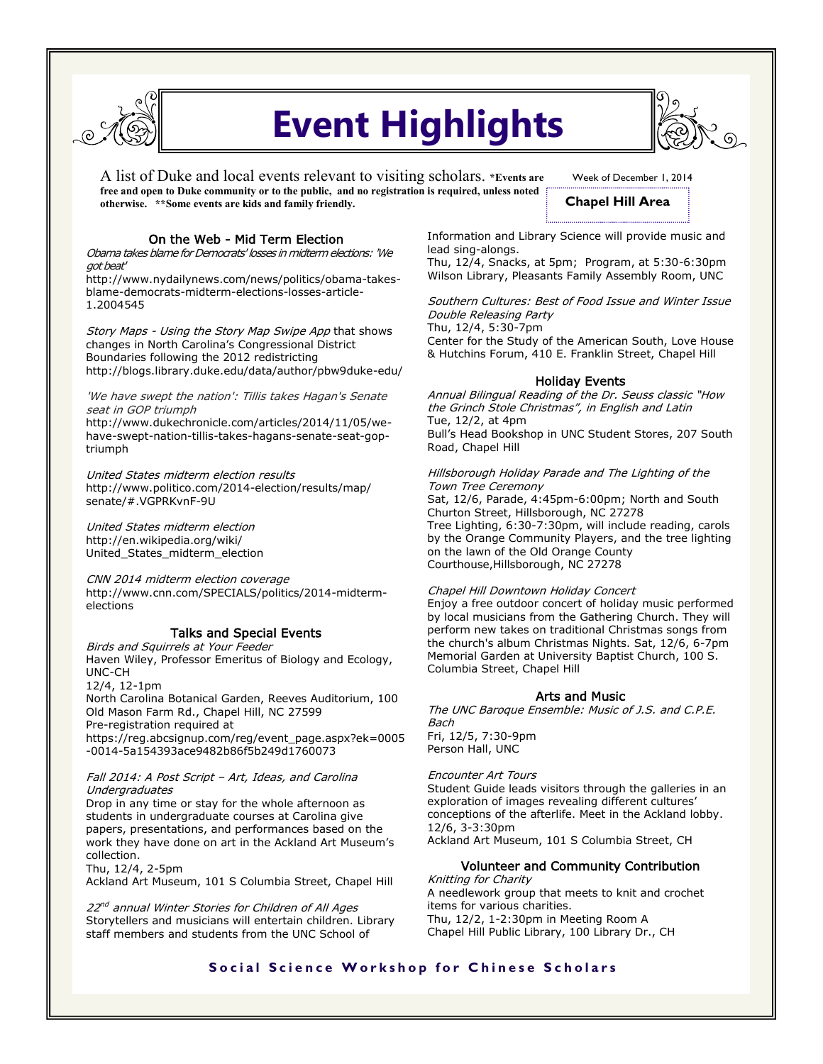

# **Event Highlights**

A list of Duke and local events relevant to visiting scholars. **\*Events are free and open to Duke community or to the public, and no registration is required, unless noted otherwise. \*\*Some events are kids and family friendly.** 



# **Chapel Hill Area**

## On the Web - Mid Term Election

Obama takes blame for Democrats' losses in midterm elections: 'We got beat'

http://www.nydailynews.com/news/politics/obama-takesblame-democrats-midterm-elections-losses-article-1.2004545

Story Maps - Using the Story Map Swipe App that shows changes in North Carolina's Congressional District Boundaries following the 2012 redistricting http://blogs.library.duke.edu/data/author/pbw9duke-edu/

'We have swept the nation': Tillis takes Hagan's Senate seat in GOP triumph

http://www.dukechronicle.com/articles/2014/11/05/wehave-swept-nation-tillis-takes-hagans-senate-seat-goptriumph

United States midterm election results http://www.politico.com/2014-election/results/map/ senate/#.VGPRKvnF-9U

United States midterm election http://en.wikipedia.org/wiki/ United\_States\_midterm\_election

CNN 2014 midterm election coverage http://www.cnn.com/SPECIALS/politics/2014-midtermelections

## Talks and Special Events

# Birds and Squirrels at Your Feeder

Haven Wiley, Professor Emeritus of Biology and Ecology, UNC-CH

12/4, 12-1pm

North Carolina Botanical Garden, Reeves Auditorium, 100 Old Mason Farm Rd., Chapel Hill, NC 27599 Pre-registration required at https://reg.abcsignup.com/reg/event\_page.aspx?ek=0005

-0014-5a154393ace9482b86f5b249d1760073

### Fall 2014: A Post Script – Art, Ideas, and Carolina Undergraduates

Drop in any time or stay for the whole afternoon as students in undergraduate courses at Carolina give papers, presentations, and performances based on the work they have done on art in the Ackland Art Museum's collection.

Thu, 12/4, 2-5pm Ackland Art Museum, 101 S Columbia Street, Chapel Hill

22<sup>nd</sup> annual Winter Stories for Children of All Ages Storytellers and musicians will entertain children. Library staff members and students from the UNC School of

Information and Library Science will provide music and lead sing-alongs.

Thu, 12/4, Snacks, at 5pm; Program, at 5:30-6:30pm Wilson Library, Pleasants Family Assembly Room, UNC

Southern Cultures: Best of Food Issue and Winter Issue Double Releasing Party Thu, 12/4, 5:30-7pm

Center for the Study of the American South, Love House & Hutchins Forum, 410 E. Franklin Street, Chapel Hill

## Holiday Events

Annual Bilingual Reading of the Dr. Seuss classic "How the Grinch Stole Christmas", in English and Latin Tue, 12/2, at 4pm Bull's Head Bookshop in UNC Student Stores, 207 South Road, Chapel Hill

Hillsborough Holiday Parade and The Lighting of the Town Tree Ceremony Sat, 12/6, Parade, 4:45pm-6:00pm; North and South Churton Street, Hillsborough, NC 27278 Tree Lighting, 6:30-7:30pm, will include reading, carols by the Orange Community Players, and the tree lighting on the lawn of the Old Orange County Courthouse,Hillsborough, NC 27278

#### Chapel Hill Downtown Holiday Concert

Enjoy a free outdoor concert of holiday music performed by local musicians from the Gathering Church. They will perform new takes on traditional Christmas songs from the church's album Christmas Nights. Sat, 12/6, 6-7pm Memorial Garden at University Baptist Church, 100 S. Columbia Street, Chapel Hill

## Arts and Music

The UNC Baroque Ensemble: Music of J.S. and C.P.E. Bach Fri, 12/5, 7:30-9pm Person Hall, UNC

Encounter Art Tours Student Guide leads visitors through the galleries in an exploration of images revealing different cultures' conceptions of the afterlife. Meet in the Ackland lobby. 12/6, 3-3:30pm Ackland Art Museum, 101 S Columbia Street, CH

# Volunteer and Community Contribution

Knitting for Charity A needlework group that meets to knit and crochet items for various charities. Thu, 12/2, 1-2:30pm in Meeting Room A Chapel Hill Public Library, 100 Library Dr., CH

## **Social Science Workshop for Chinese Scholars**